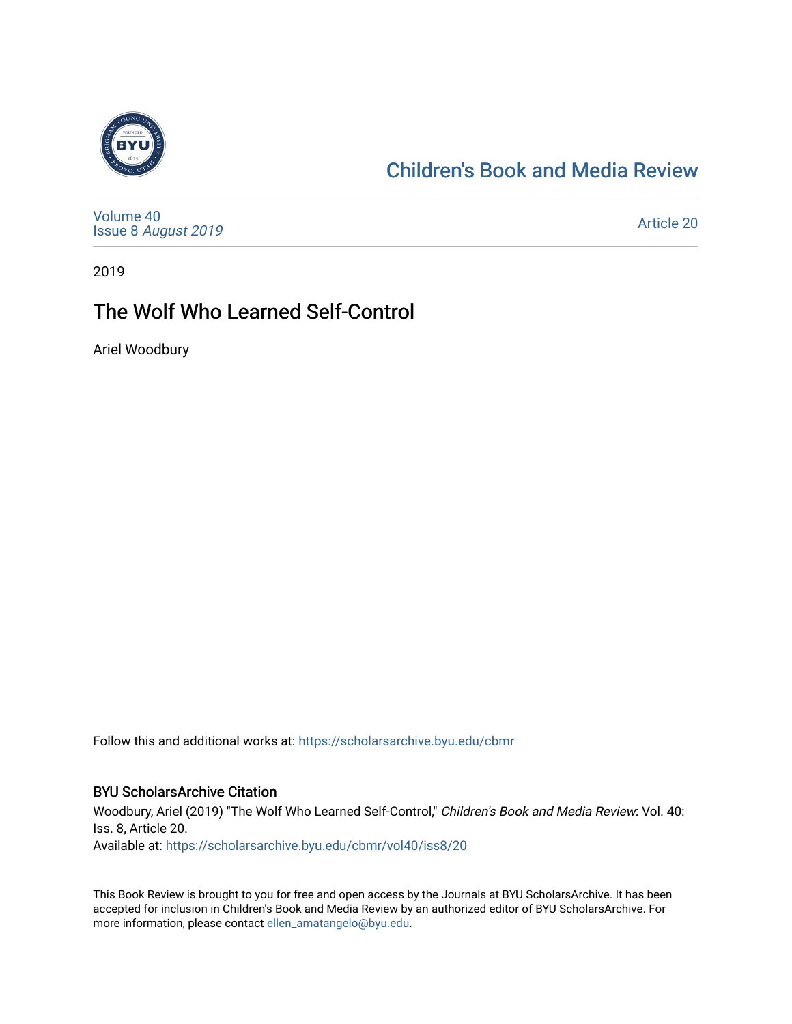

# [Children's Book and Media Review](https://scholarsarchive.byu.edu/cbmr)

[Volume 40](https://scholarsarchive.byu.edu/cbmr/vol40) Issue 8 [August 2019](https://scholarsarchive.byu.edu/cbmr/vol40/iss8) 

[Article 20](https://scholarsarchive.byu.edu/cbmr/vol40/iss8/20) 

2019

# The Wolf Who Learned Self-Control

Ariel Woodbury

Follow this and additional works at: [https://scholarsarchive.byu.edu/cbmr](https://scholarsarchive.byu.edu/cbmr?utm_source=scholarsarchive.byu.edu%2Fcbmr%2Fvol40%2Fiss8%2F20&utm_medium=PDF&utm_campaign=PDFCoverPages) 

#### BYU ScholarsArchive Citation

Woodbury, Ariel (2019) "The Wolf Who Learned Self-Control," Children's Book and Media Review: Vol. 40: Iss. 8, Article 20. Available at: [https://scholarsarchive.byu.edu/cbmr/vol40/iss8/20](https://scholarsarchive.byu.edu/cbmr/vol40/iss8/20?utm_source=scholarsarchive.byu.edu%2Fcbmr%2Fvol40%2Fiss8%2F20&utm_medium=PDF&utm_campaign=PDFCoverPages)

This Book Review is brought to you for free and open access by the Journals at BYU ScholarsArchive. It has been accepted for inclusion in Children's Book and Media Review by an authorized editor of BYU ScholarsArchive. For more information, please contact [ellen\\_amatangelo@byu.edu.](mailto:ellen_amatangelo@byu.edu)